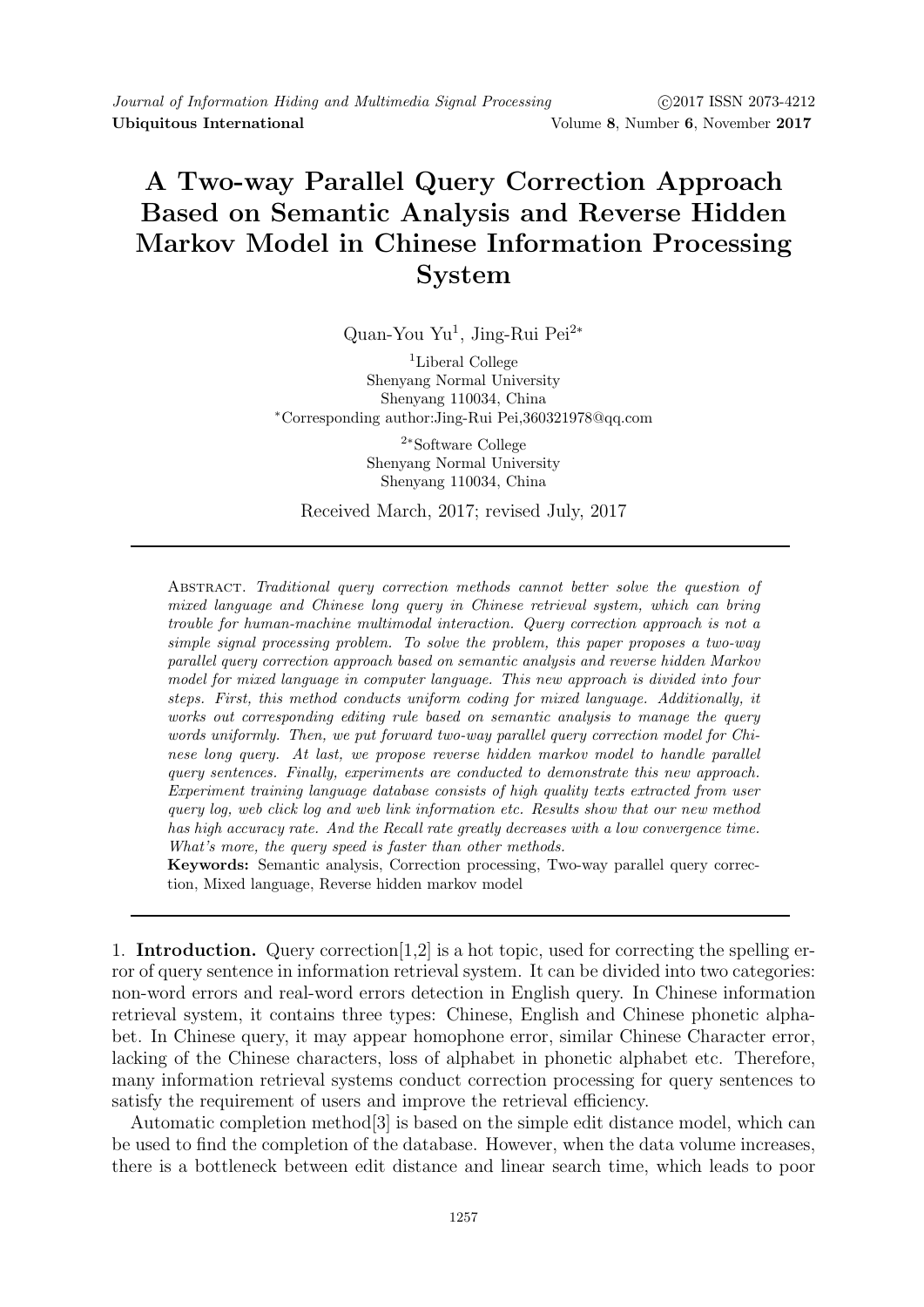Journal of Information Hiding and Multimedia Signal Processing (C2017 ISSN 2073-4212) Ubiquitous International Volume 8, Number 6, November 2017

## A Two-way Parallel Query Correction Approach Based on Semantic Analysis and Reverse Hidden Markov Model in Chinese Information Processing System

Quan-You Yu<sup>1</sup>, Jing-Rui Pei<sup>2\*</sup>

<sup>1</sup>Liberal College Shenyang Normal University Shenyang 110034, China <sup>∗</sup>Corresponding author:Jing-Rui Pei,360321978@qq.com

> <sup>2</sup>∗Software College Shenyang Normal University Shenyang 110034, China

Received March, 2017; revised July, 2017

Abstract. Traditional query correction methods cannot better solve the question of mixed language and Chinese long query in Chinese retrieval system, which can bring trouble for human-machine multimodal interaction. Query correction approach is not a simple signal processing problem. To solve the problem, this paper proposes a two-way parallel query correction approach based on semantic analysis and reverse hidden Markov model for mixed language in computer language. This new approach is divided into four steps. First, this method conducts uniform coding for mixed language. Additionally, it works out corresponding editing rule based on semantic analysis to manage the query words uniformly. Then, we put forward two-way parallel query correction model for Chinese long query. At last, we propose reverse hidden markov model to handle parallel query sentences. Finally, experiments are conducted to demonstrate this new approach. Experiment training language database consists of high quality texts extracted from user query log, web click log and web link information etc. Results show that our new method has high accuracy rate. And the Recall rate greatly decreases with a low convergence time. What's more, the query speed is faster than other methods.

Keywords: Semantic analysis, Correction processing, Two-way parallel query correction, Mixed language, Reverse hidden markov model

1. Introduction. Query correction[1,2] is a hot topic, used for correcting the spelling error of query sentence in information retrieval system. It can be divided into two categories: non-word errors and real-word errors detection in English query. In Chinese information retrieval system, it contains three types: Chinese, English and Chinese phonetic alphabet. In Chinese query, it may appear homophone error, similar Chinese Character error, lacking of the Chinese characters, loss of alphabet in phonetic alphabet etc. Therefore, many information retrieval systems conduct correction processing for query sentences to satisfy the requirement of users and improve the retrieval efficiency.

Automatic completion method[3] is based on the simple edit distance model, which can be used to find the completion of the database. However, when the data volume increases, there is a bottleneck between edit distance and linear search time, which leads to poor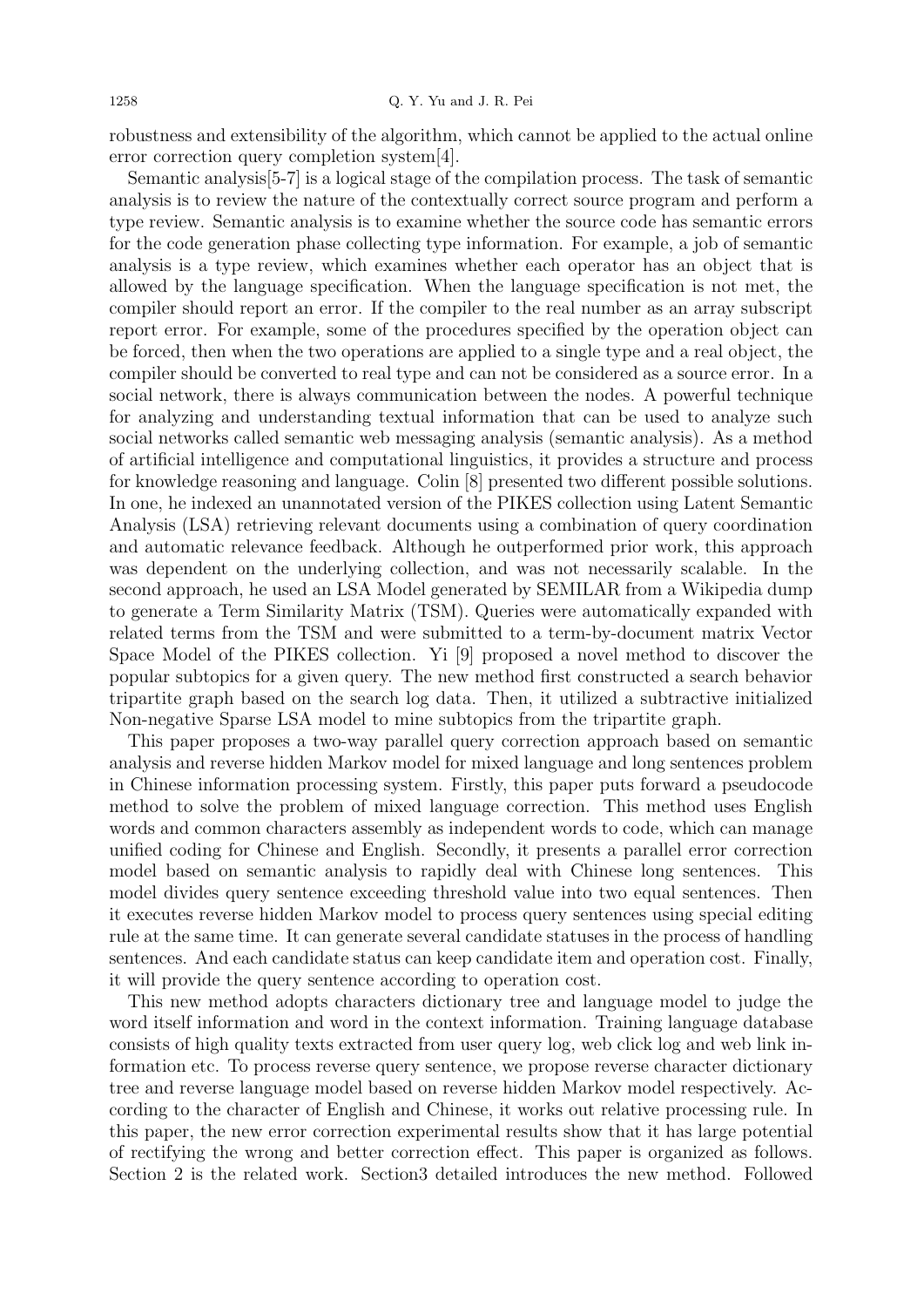robustness and extensibility of the algorithm, which cannot be applied to the actual online error correction query completion system[4].

Semantic analysis[5-7] is a logical stage of the compilation process. The task of semantic analysis is to review the nature of the contextually correct source program and perform a type review. Semantic analysis is to examine whether the source code has semantic errors for the code generation phase collecting type information. For example, a job of semantic analysis is a type review, which examines whether each operator has an object that is allowed by the language specification. When the language specification is not met, the compiler should report an error. If the compiler to the real number as an array subscript report error. For example, some of the procedures specified by the operation object can be forced, then when the two operations are applied to a single type and a real object, the compiler should be converted to real type and can not be considered as a source error. In a social network, there is always communication between the nodes. A powerful technique for analyzing and understanding textual information that can be used to analyze such social networks called semantic web messaging analysis (semantic analysis). As a method of artificial intelligence and computational linguistics, it provides a structure and process for knowledge reasoning and language. Colin [8] presented two different possible solutions. In one, he indexed an unannotated version of the PIKES collection using Latent Semantic Analysis (LSA) retrieving relevant documents using a combination of query coordination and automatic relevance feedback. Although he outperformed prior work, this approach was dependent on the underlying collection, and was not necessarily scalable. In the second approach, he used an LSA Model generated by SEMILAR from a Wikipedia dump to generate a Term Similarity Matrix (TSM). Queries were automatically expanded with related terms from the TSM and were submitted to a term-by-document matrix Vector Space Model of the PIKES collection. Yi [9] proposed a novel method to discover the popular subtopics for a given query. The new method first constructed a search behavior tripartite graph based on the search log data. Then, it utilized a subtractive initialized Non-negative Sparse LSA model to mine subtopics from the tripartite graph.

This paper proposes a two-way parallel query correction approach based on semantic analysis and reverse hidden Markov model for mixed language and long sentences problem in Chinese information processing system. Firstly, this paper puts forward a pseudocode method to solve the problem of mixed language correction. This method uses English words and common characters assembly as independent words to code, which can manage unified coding for Chinese and English. Secondly, it presents a parallel error correction model based on semantic analysis to rapidly deal with Chinese long sentences. This model divides query sentence exceeding threshold value into two equal sentences. Then it executes reverse hidden Markov model to process query sentences using special editing rule at the same time. It can generate several candidate statuses in the process of handling sentences. And each candidate status can keep candidate item and operation cost. Finally, it will provide the query sentence according to operation cost.

This new method adopts characters dictionary tree and language model to judge the word itself information and word in the context information. Training language database consists of high quality texts extracted from user query log, web click log and web link information etc. To process reverse query sentence, we propose reverse character dictionary tree and reverse language model based on reverse hidden Markov model respectively. According to the character of English and Chinese, it works out relative processing rule. In this paper, the new error correction experimental results show that it has large potential of rectifying the wrong and better correction effect. This paper is organized as follows. Section 2 is the related work. Section3 detailed introduces the new method. Followed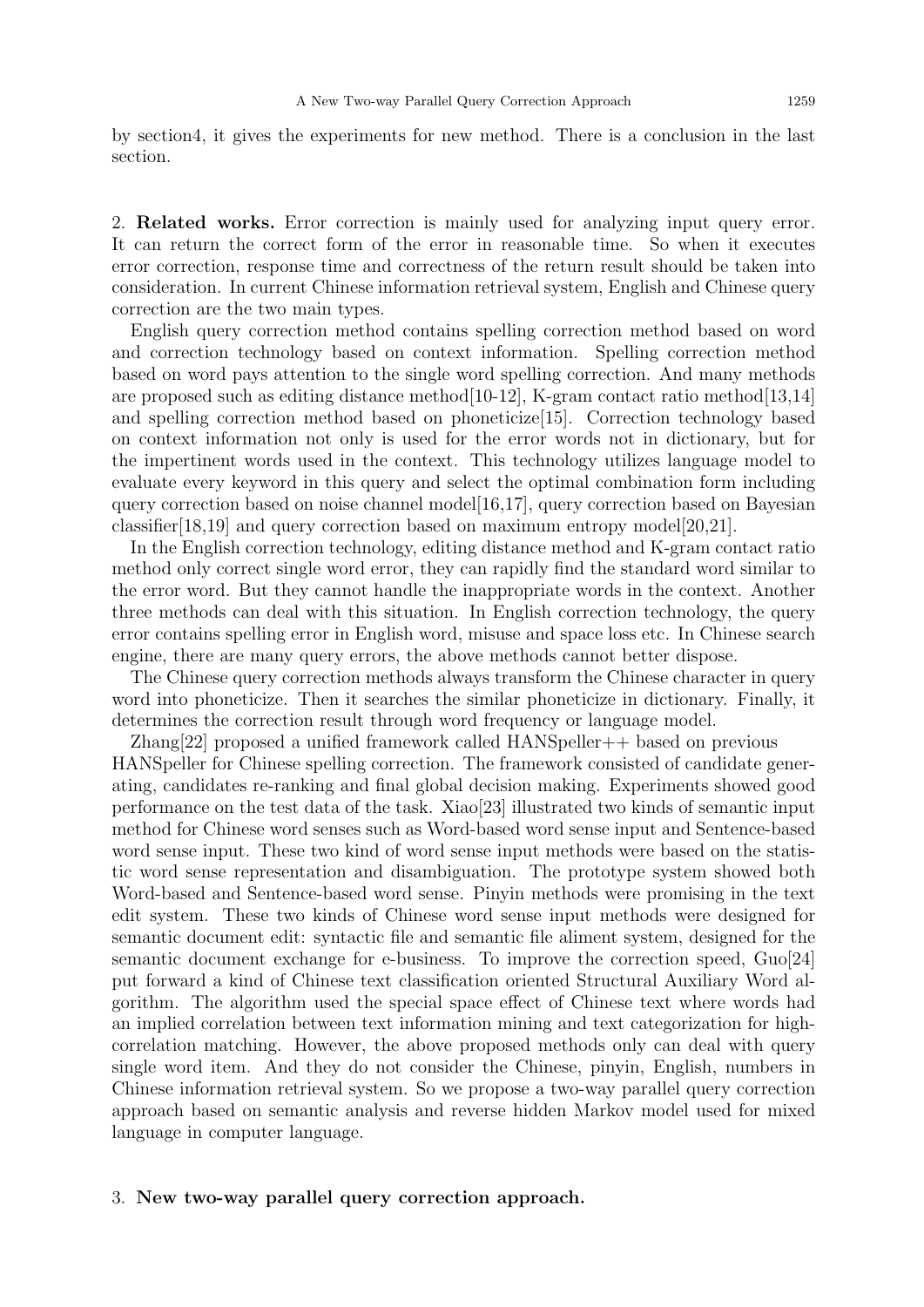by section4, it gives the experiments for new method. There is a conclusion in the last section.

2. Related works. Error correction is mainly used for analyzing input query error. It can return the correct form of the error in reasonable time. So when it executes error correction, response time and correctness of the return result should be taken into consideration. In current Chinese information retrieval system, English and Chinese query correction are the two main types.

English query correction method contains spelling correction method based on word and correction technology based on context information. Spelling correction method based on word pays attention to the single word spelling correction. And many methods are proposed such as editing distance method  $[10-12]$ , K-gram contact ratio method  $[13,14]$ and spelling correction method based on phoneticize[15]. Correction technology based on context information not only is used for the error words not in dictionary, but for the impertinent words used in the context. This technology utilizes language model to evaluate every keyword in this query and select the optimal combination form including query correction based on noise channel model[16,17], query correction based on Bayesian classifier[18,19] and query correction based on maximum entropy model[20,21].

In the English correction technology, editing distance method and K-gram contact ratio method only correct single word error, they can rapidly find the standard word similar to the error word. But they cannot handle the inappropriate words in the context. Another three methods can deal with this situation. In English correction technology, the query error contains spelling error in English word, misuse and space loss etc. In Chinese search engine, there are many query errors, the above methods cannot better dispose.

The Chinese query correction methods always transform the Chinese character in query word into phoneticize. Then it searches the similar phoneticize in dictionary. Finally, it determines the correction result through word frequency or language model.

Zhang[22] proposed a unified framework called HANSpeller++ based on previous HANSpeller for Chinese spelling correction. The framework consisted of candidate generating, candidates re-ranking and final global decision making. Experiments showed good performance on the test data of the task. Xiao[23] illustrated two kinds of semantic input method for Chinese word senses such as Word-based word sense input and Sentence-based word sense input. These two kind of word sense input methods were based on the statistic word sense representation and disambiguation. The prototype system showed both Word-based and Sentence-based word sense. Pinyin methods were promising in the text edit system. These two kinds of Chinese word sense input methods were designed for semantic document edit: syntactic file and semantic file aliment system, designed for the semantic document exchange for e-business. To improve the correction speed, Guo[24] put forward a kind of Chinese text classification oriented Structural Auxiliary Word algorithm. The algorithm used the special space effect of Chinese text where words had an implied correlation between text information mining and text categorization for highcorrelation matching. However, the above proposed methods only can deal with query single word item. And they do not consider the Chinese, pinyin, English, numbers in Chinese information retrieval system. So we propose a two-way parallel query correction approach based on semantic analysis and reverse hidden Markov model used for mixed language in computer language.

## 3. New two-way parallel query correction approach.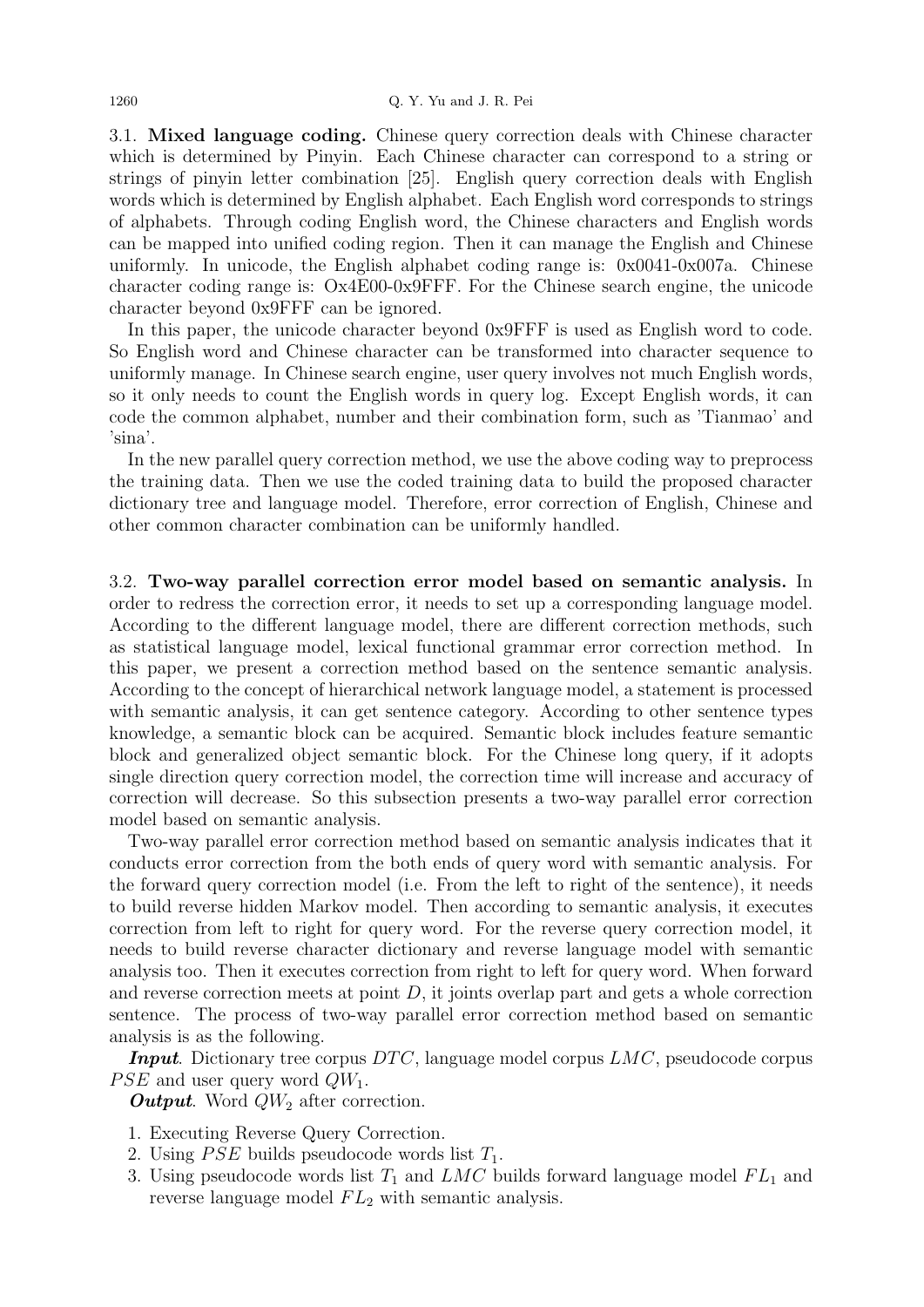3.1. Mixed language coding. Chinese query correction deals with Chinese character which is determined by Pinyin. Each Chinese character can correspond to a string or strings of pinyin letter combination [25]. English query correction deals with English words which is determined by English alphabet. Each English word corresponds to strings of alphabets. Through coding English word, the Chinese characters and English words can be mapped into unified coding region. Then it can manage the English and Chinese uniformly. In unicode, the English alphabet coding range is: 0x0041-0x007a. Chinese character coding range is: Ox4E00-0x9FFF. For the Chinese search engine, the unicode character beyond 0x9FFF can be ignored.

In this paper, the unicode character beyond 0x9FFF is used as English word to code. So English word and Chinese character can be transformed into character sequence to uniformly manage. In Chinese search engine, user query involves not much English words, so it only needs to count the English words in query log. Except English words, it can code the common alphabet, number and their combination form, such as 'Tianmao' and 'sina'.

In the new parallel query correction method, we use the above coding way to preprocess the training data. Then we use the coded training data to build the proposed character dictionary tree and language model. Therefore, error correction of English, Chinese and other common character combination can be uniformly handled.

3.2. Two-way parallel correction error model based on semantic analysis. In order to redress the correction error, it needs to set up a corresponding language model. According to the different language model, there are different correction methods, such as statistical language model, lexical functional grammar error correction method. In this paper, we present a correction method based on the sentence semantic analysis. According to the concept of hierarchical network language model, a statement is processed with semantic analysis, it can get sentence category. According to other sentence types knowledge, a semantic block can be acquired. Semantic block includes feature semantic block and generalized object semantic block. For the Chinese long query, if it adopts single direction query correction model, the correction time will increase and accuracy of correction will decrease. So this subsection presents a two-way parallel error correction model based on semantic analysis.

Two-way parallel error correction method based on semantic analysis indicates that it conducts error correction from the both ends of query word with semantic analysis. For the forward query correction model (i.e. From the left to right of the sentence), it needs to build reverse hidden Markov model. Then according to semantic analysis, it executes correction from left to right for query word. For the reverse query correction model, it needs to build reverse character dictionary and reverse language model with semantic analysis too. Then it executes correction from right to left for query word. When forward and reverse correction meets at point  $D$ , it joints overlap part and gets a whole correction sentence. The process of two-way parallel error correction method based on semantic analysis is as the following.

**Input.** Dictionary tree corpus  $DTC$ , language model corpus  $LMC$ , pseudocode corpus  $PSE$  and user query word  $QW_1$ .

**Output.** Word  $QW_2$  after correction.

- 1. Executing Reverse Query Correction.
- 2. Using  $PSE$  builds pseudocode words list  $T_1$ .
- 3. Using pseudocode words list  $T_1$  and  $LMC$  builds forward language model  $FL_1$  and reverse language model  $FL_2$  with semantic analysis.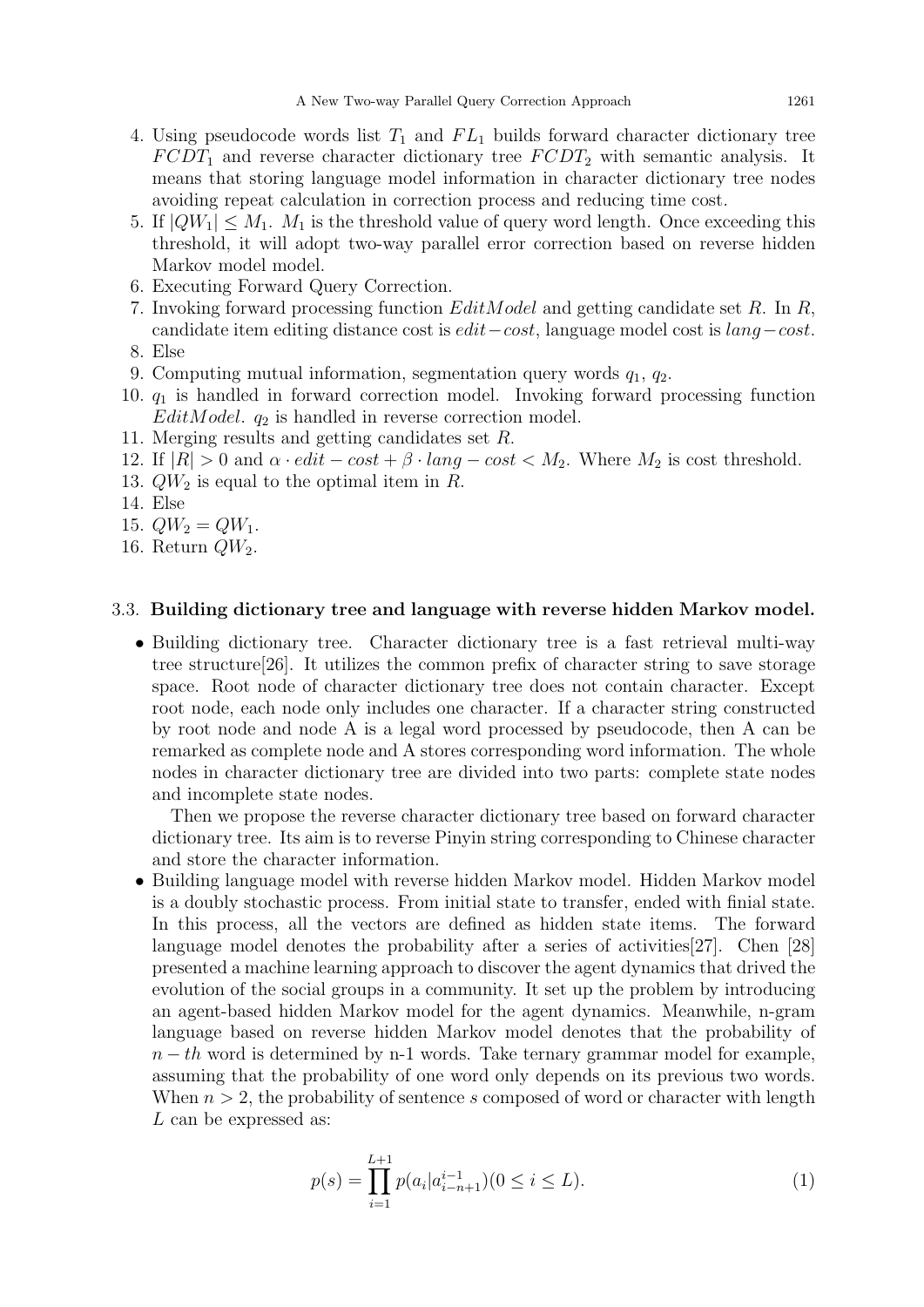- 4. Using pseudocode words list  $T_1$  and  $FL_1$  builds forward character dictionary tree  $FCDT_1$  and reverse character dictionary tree  $FCDT_2$  with semantic analysis. It means that storing language model information in character dictionary tree nodes avoiding repeat calculation in correction process and reducing time cost.
- 5. If  $|QW_1| \leq M_1$ .  $M_1$  is the threshold value of query word length. Once exceeding this threshold, it will adopt two-way parallel error correction based on reverse hidden Markov model model.
- 6. Executing Forward Query Correction.
- 7. Invoking forward processing function  $Edit Model$  and getting candidate set R. In R, candidate item editing distance cost is edit−cost, language model cost is lang−cost.
- 8. Else
- 9. Computing mutual information, segmentation query words  $q_1, q_2$ .
- 10.  $q_1$  is handled in forward correction model. Invoking forward processing function  $Edit Model. q_2$  is handled in reverse correction model.
- 11. Merging results and getting candidates set R.
- 12. If  $|R| > 0$  and  $\alpha \cdot edit cost + \beta \cdot lang cost < M_2$ . Where  $M_2$  is cost threshold.
- 13.  $QW_2$  is equal to the optimal item in R.
- 14. Else
- 15.  $QW_2 = QW_1$ .
- 16. Return  $QW_2$ .

## 3.3. Building dictionary tree and language with reverse hidden Markov model.

• Building dictionary tree. Character dictionary tree is a fast retrieval multi-way tree structure[26]. It utilizes the common prefix of character string to save storage space. Root node of character dictionary tree does not contain character. Except root node, each node only includes one character. If a character string constructed by root node and node A is a legal word processed by pseudocode, then A can be remarked as complete node and A stores corresponding word information. The whole nodes in character dictionary tree are divided into two parts: complete state nodes and incomplete state nodes.

Then we propose the reverse character dictionary tree based on forward character dictionary tree. Its aim is to reverse Pinyin string corresponding to Chinese character and store the character information.

• Building language model with reverse hidden Markov model. Hidden Markov model is a doubly stochastic process. From initial state to transfer, ended with finial state. In this process, all the vectors are defined as hidden state items. The forward language model denotes the probability after a series of activities [27]. Chen [28] presented a machine learning approach to discover the agent dynamics that drived the evolution of the social groups in a community. It set up the problem by introducing an agent-based hidden Markov model for the agent dynamics. Meanwhile, n-gram language based on reverse hidden Markov model denotes that the probability of  $n-th$  word is determined by n-1 words. Take ternary grammar model for example, assuming that the probability of one word only depends on its previous two words. When  $n > 2$ , the probability of sentence s composed of word or character with length L can be expressed as:

$$
p(s) = \prod_{i=1}^{L+1} p(a_i | a_{i-n+1}^{i-1})(0 \le i \le L).
$$
 (1)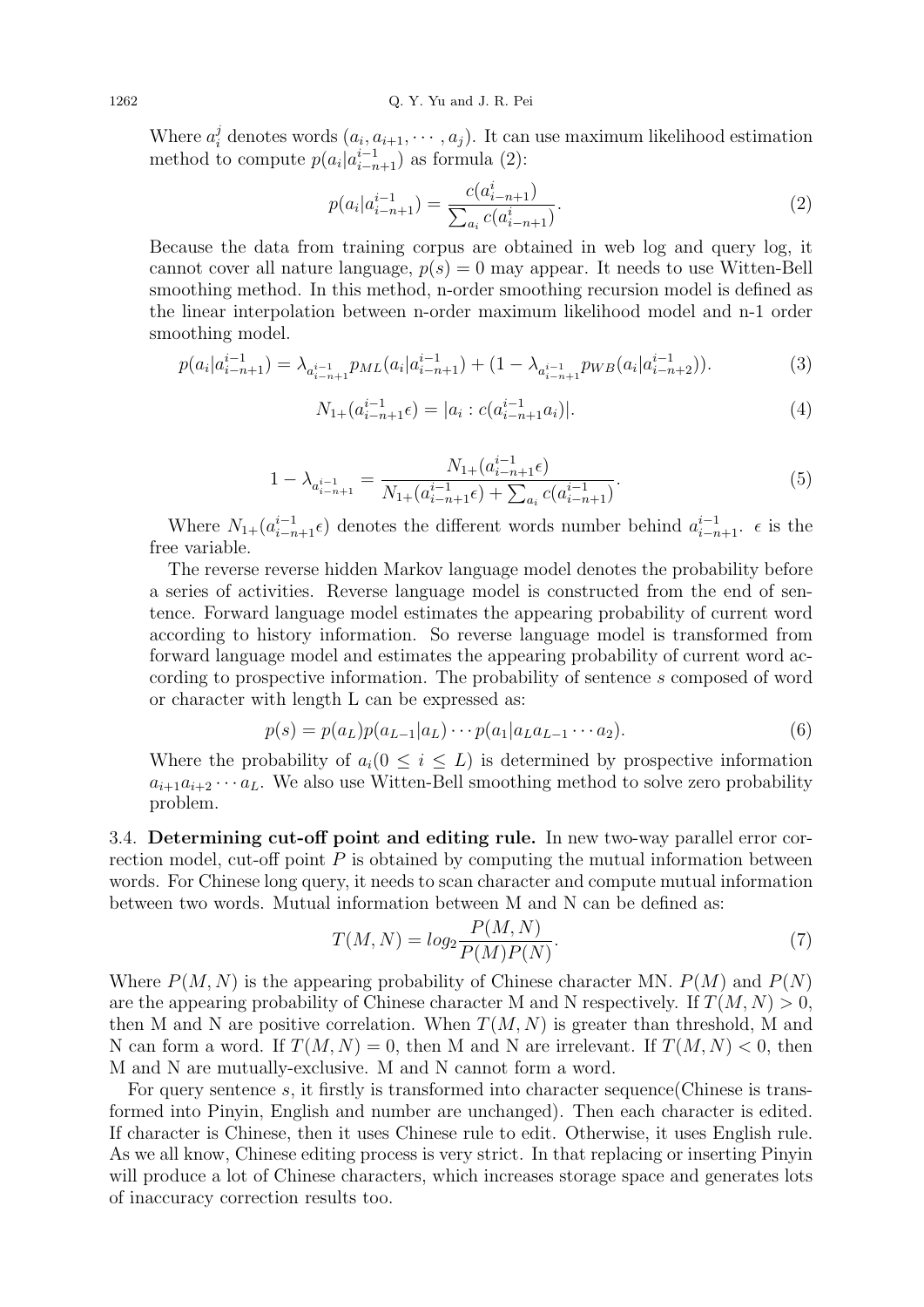Where  $a_i^j$  denotes words  $(a_i, a_{i+1}, \dots, a_j)$ . It can use maximum likelihood estimation method to compute  $p(a_i|a_{i-n+1}^{i-1})$  as formula (2):

$$
p(a_i|a_{i-n+1}^{i-1}) = \frac{c(a_{i-n+1}^i)}{\sum_{a_i} c(a_{i-n+1}^i)}.
$$
\n(2)

Because the data from training corpus are obtained in web log and query log, it cannot cover all nature language,  $p(s) = 0$  may appear. It needs to use Witten-Bell smoothing method. In this method, n-order smoothing recursion model is defined as the linear interpolation between n-order maximum likelihood model and n-1 order smoothing model.

$$
p(a_i|a_{i-n+1}^{i-1}) = \lambda_{a_{i-n+1}^{i-1}} p_{ML}(a_i|a_{i-n+1}^{i-1}) + (1 - \lambda_{a_{i-n+1}^{i-1}} p_{WB}(a_i|a_{i-n+2}^{i-1})).
$$
\n(3)

$$
N_{1+}(a_{i-n+1}^{i-1}\epsilon) = |a_i : c(a_{i-n+1}^{i-1}a_i)|. \tag{4}
$$

$$
1 - \lambda_{a_{i-n+1}^{i-1}} = \frac{N_{1+}(a_{i-n+1}^{i-1}\epsilon)}{N_{1+}(a_{i-n+1}^{i-1}\epsilon) + \sum_{a_i} c(a_{i-n+1}^{i-1})}.
$$
(5)

Where  $N_{1+}(a_{i-n+1}^{i-1}\epsilon)$  denotes the different words number behind  $a_{i-n+1}^{i-1}$ .  $\epsilon$  is the free variable.

The reverse reverse hidden Markov language model denotes the probability before a series of activities. Reverse language model is constructed from the end of sentence. Forward language model estimates the appearing probability of current word according to history information. So reverse language model is transformed from forward language model and estimates the appearing probability of current word according to prospective information. The probability of sentence s composed of word or character with length L can be expressed as:

$$
p(s) = p(a_L)p(a_{L-1}|a_L)\cdots p(a_1|a_La_{L-1}\cdots a_2).
$$
\n(6)

Where the probability of  $a_i(0 \leq i \leq L)$  is determined by prospective information  $a_{i+1}a_{i+2}\cdots a_{L}$ . We also use Witten-Bell smoothing method to solve zero probability problem.

3.4. Determining cut-off point and editing rule. In new two-way parallel error correction model, cut-off point  $P$  is obtained by computing the mutual information between words. For Chinese long query, it needs to scan character and compute mutual information between two words. Mutual information between M and N can be defined as:

$$
T(M, N) = log_2 \frac{P(M, N)}{P(M)P(N)}.
$$
\n<sup>(7)</sup>

Where  $P(M, N)$  is the appearing probability of Chinese character MN.  $P(M)$  and  $P(N)$ are the appearing probability of Chinese character M and N respectively. If  $T(M, N) > 0$ , then M and N are positive correlation. When  $T(M, N)$  is greater than threshold, M and N can form a word. If  $T(M, N) = 0$ , then M and N are irrelevant. If  $T(M, N) < 0$ , then M and N are mutually-exclusive. M and N cannot form a word.

For query sentence s, it firstly is transformed into character sequence(Chinese is transformed into Pinyin, English and number are unchanged). Then each character is edited. If character is Chinese, then it uses Chinese rule to edit. Otherwise, it uses English rule. As we all know, Chinese editing process is very strict. In that replacing or inserting Pinyin will produce a lot of Chinese characters, which increases storage space and generates lots of inaccuracy correction results too.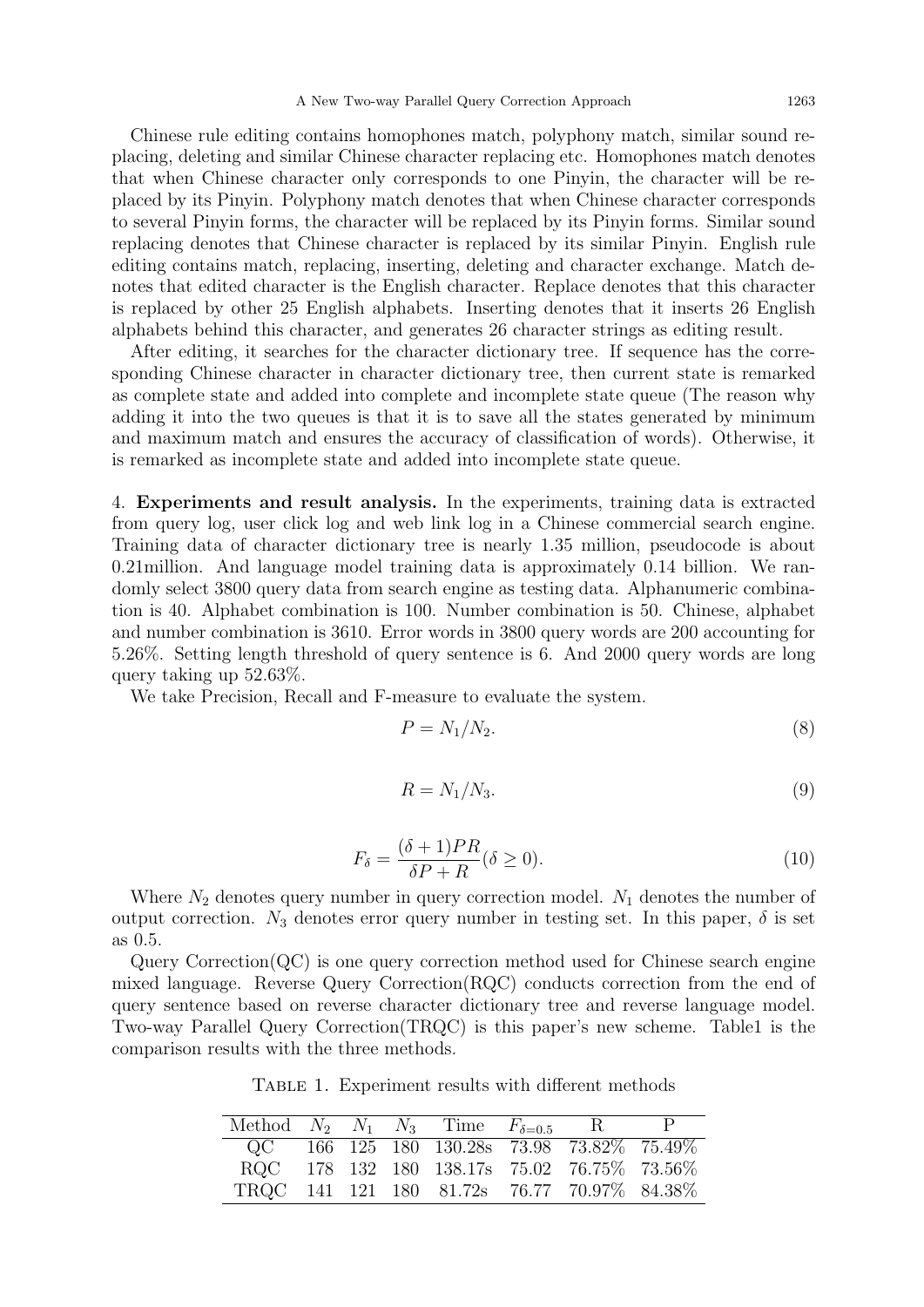Chinese rule editing contains homophones match, polyphony match, similar sound replacing, deleting and similar Chinese character replacing etc. Homophones match denotes that when Chinese character only corresponds to one Pinyin, the character will be replaced by its Pinyin. Polyphony match denotes that when Chinese character corresponds to several Pinyin forms, the character will be replaced by its Pinyin forms. Similar sound replacing denotes that Chinese character is replaced by its similar Pinyin. English rule editing contains match, replacing, inserting, deleting and character exchange. Match denotes that edited character is the English character. Replace denotes that this character is replaced by other 25 English alphabets. Inserting denotes that it inserts 26 English alphabets behind this character, and generates 26 character strings as editing result.

After editing, it searches for the character dictionary tree. If sequence has the corresponding Chinese character in character dictionary tree, then current state is remarked as complete state and added into complete and incomplete state queue (The reason why adding it into the two queues is that it is to save all the states generated by minimum and maximum match and ensures the accuracy of classification of words). Otherwise, it is remarked as incomplete state and added into incomplete state queue.

4. Experiments and result analysis. In the experiments, training data is extracted from query log, user click log and web link log in a Chinese commercial search engine. Training data of character dictionary tree is nearly 1.35 million, pseudocode is about 0.21million. And language model training data is approximately 0.14 billion. We randomly select 3800 query data from search engine as testing data. Alphanumeric combination is 40. Alphabet combination is 100. Number combination is 50. Chinese, alphabet and number combination is 3610. Error words in 3800 query words are 200 accounting for 5.26%. Setting length threshold of query sentence is 6. And 2000 query words are long query taking up 52.63%.

We take Precision, Recall and F-measure to evaluate the system.

$$
P = N_1/N_2. \tag{8}
$$

$$
R = N_1/N_3. \tag{9}
$$

$$
F_{\delta} = \frac{(\delta + 1)PR}{\delta P + R} (\delta \ge 0).
$$
\n(10)

Where  $N_2$  denotes query number in query correction model.  $N_1$  denotes the number of output correction.  $N_3$  denotes error query number in testing set. In this paper,  $\delta$  is set as 0.5.

Query Correction $(QC)$  is one query correction method used for Chinese search engine mixed language. Reverse Query Correction(RQC) conducts correction from the end of query sentence based on reverse character dictionary tree and reverse language model. Two-way Parallel Query Correction(TRQC) is this paper's new scheme. Table1 is the comparison results with the three methods.

TABLE 1. Experiment results with different methods

|  |  | Method $N_2$ $N_1$ $N_3$ Time $F_{\delta=0.5}$ R |  | $\mathbf{p}$ |
|--|--|--------------------------------------------------|--|--------------|
|  |  | QC 166 125 180 130.28s 73.98 73.82% 75.49%       |  |              |
|  |  | RQC 178 132 180 138.17s 75.02 76.75% 73.56%      |  |              |
|  |  | TRQC 141 121 180 81.72s 76.77 70.97% 84.38%      |  |              |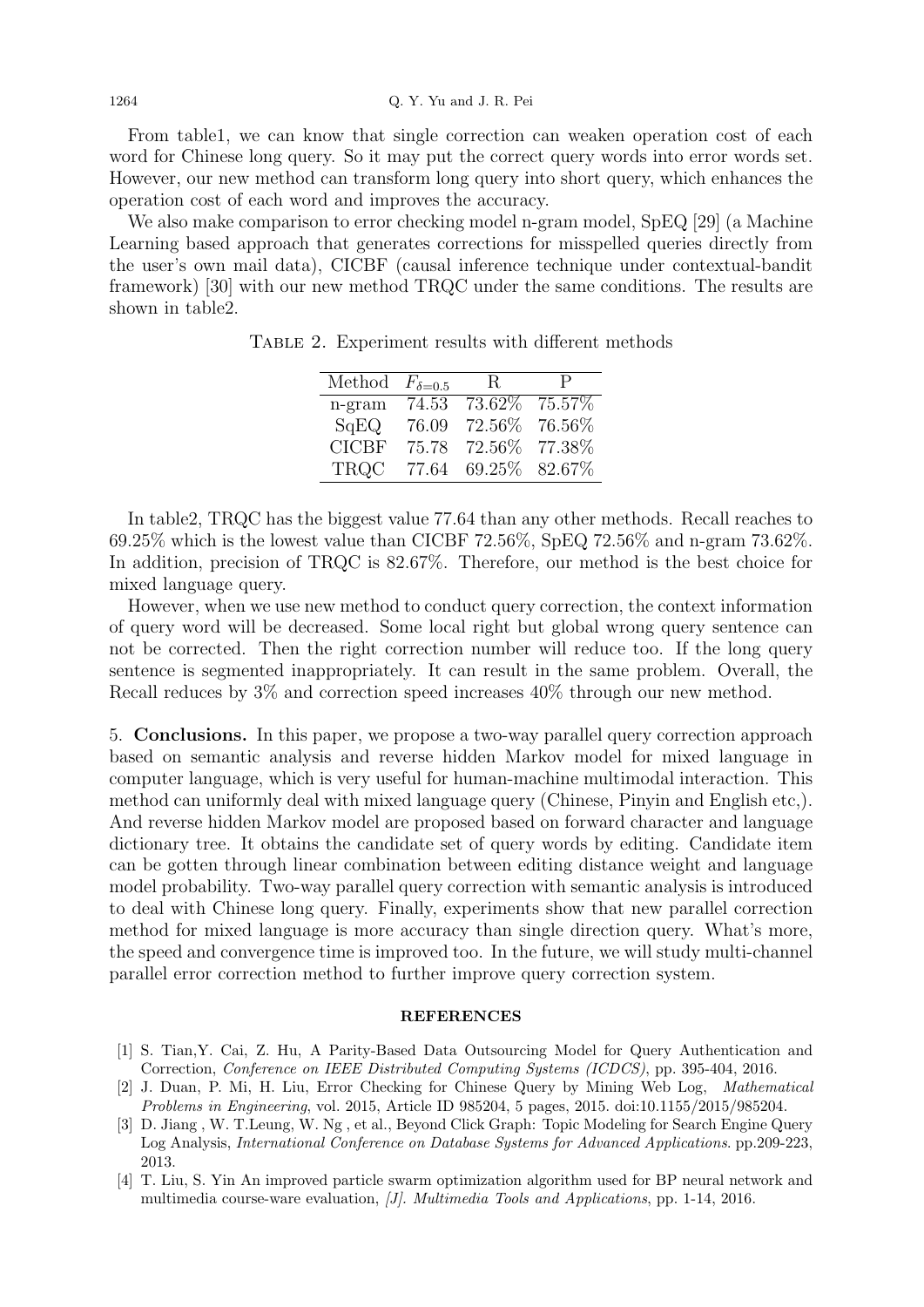From table1, we can know that single correction can weaken operation cost of each word for Chinese long query. So it may put the correct query words into error words set. However, our new method can transform long query into short query, which enhances the operation cost of each word and improves the accuracy.

We also make comparison to error checking model n-gram model, SpEQ [29] (a Machine Learning based approach that generates corrections for misspelled queries directly from the user's own mail data), CICBF (causal inference technique under contextual-bandit framework) [30] with our new method TRQC under the same conditions. The results are shown in table2.

| Method       | $F_{\delta=0.5}$ | R.      | Ρ      |
|--------------|------------------|---------|--------|
| n-gram       | 74.53            | 73.62\% | 75.57% |
| SqEQ         | 76.09            | 72.56%  | 76.56% |
| <b>CICBF</b> | 75.78            | 72.56%  | 77.38% |
| TRQC         | 77.64            | 69.25%  | 82.67% |

Table 2. Experiment results with different methods

In table2, TRQC has the biggest value 77.64 than any other methods. Recall reaches to 69.25% which is the lowest value than CICBF 72.56%, SpEQ 72.56% and n-gram 73.62%. In addition, precision of TRQC is 82.67%. Therefore, our method is the best choice for mixed language query.

However, when we use new method to conduct query correction, the context information of query word will be decreased. Some local right but global wrong query sentence can not be corrected. Then the right correction number will reduce too. If the long query sentence is segmented inappropriately. It can result in the same problem. Overall, the Recall reduces by 3% and correction speed increases 40% through our new method.

5. Conclusions. In this paper, we propose a two-way parallel query correction approach based on semantic analysis and reverse hidden Markov model for mixed language in computer language, which is very useful for human-machine multimodal interaction. This method can uniformly deal with mixed language query (Chinese, Pinyin and English etc,). And reverse hidden Markov model are proposed based on forward character and language dictionary tree. It obtains the candidate set of query words by editing. Candidate item can be gotten through linear combination between editing distance weight and language model probability. Two-way parallel query correction with semantic analysis is introduced to deal with Chinese long query. Finally, experiments show that new parallel correction method for mixed language is more accuracy than single direction query. What's more, the speed and convergence time is improved too. In the future, we will study multi-channel parallel error correction method to further improve query correction system.

## REFERENCES

- [1] S. Tian,Y. Cai, Z. Hu, A Parity-Based Data Outsourcing Model for Query Authentication and Correction, Conference on IEEE Distributed Computing Systems (ICDCS), pp. 395-404, 2016.
- [2] J. Duan, P. Mi, H. Liu, Error Checking for Chinese Query by Mining Web Log, Mathematical Problems in Engineering, vol. 2015, Article ID 985204, 5 pages, 2015. doi:10.1155/2015/985204.
- [3] D. Jiang , W. T.Leung, W. Ng , et al., Beyond Click Graph: Topic Modeling for Search Engine Query Log Analysis, International Conference on Database Systems for Advanced Applications. pp.209-223, 2013.
- [4] T. Liu, S. Yin An improved particle swarm optimization algorithm used for BP neural network and multimedia course-ware evaluation, [J]. Multimedia Tools and Applications, pp. 1-14, 2016.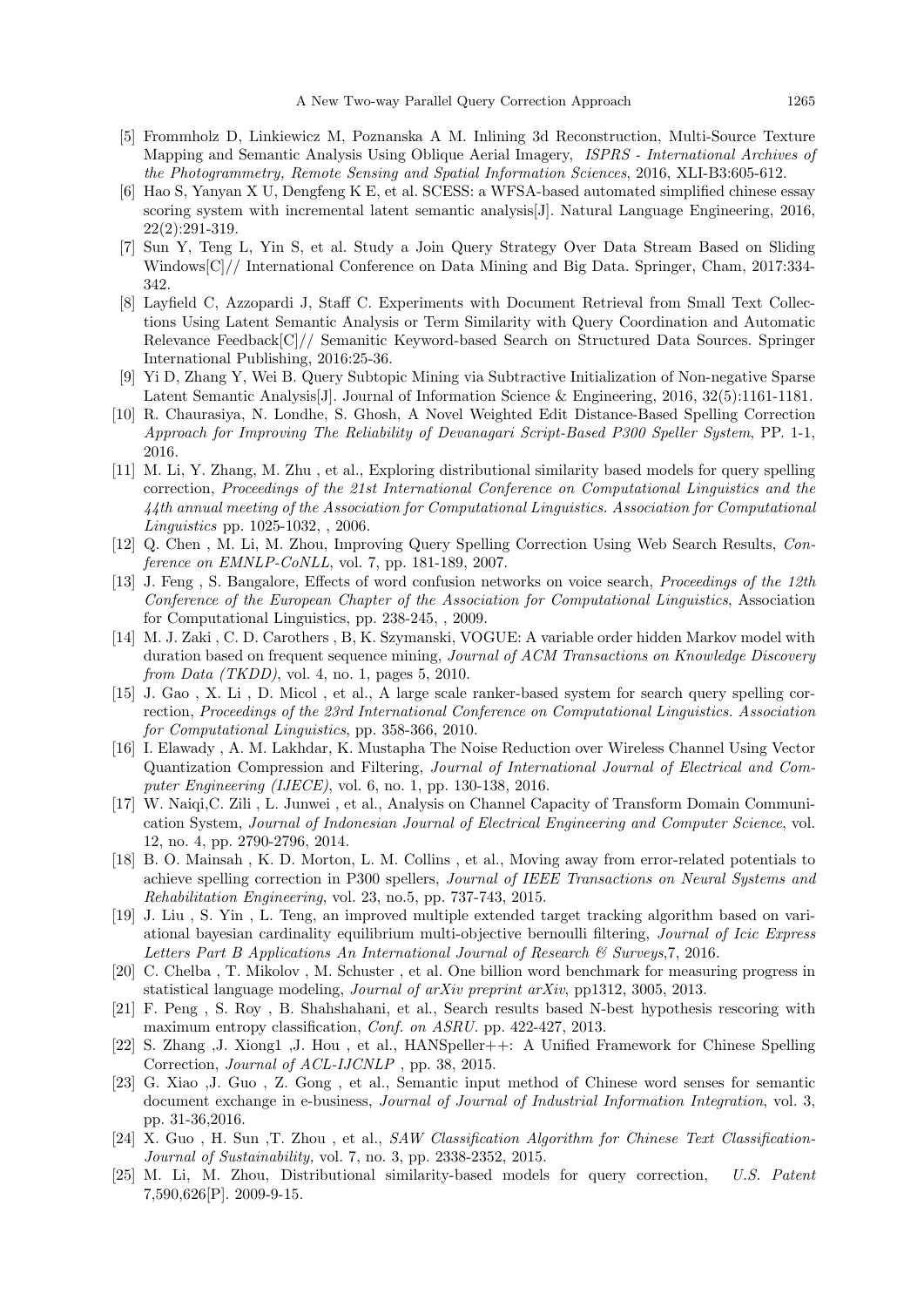- [5] Frommholz D, Linkiewicz M, Poznanska A M. Inlining 3d Reconstruction, Multi-Source Texture Mapping and Semantic Analysis Using Oblique Aerial Imagery, ISPRS - International Archives of the Photogrammetry, Remote Sensing and Spatial Information Sciences, 2016, XLI-B3:605-612.
- [6] Hao S, Yanyan X U, Dengfeng K E, et al. SCESS: a WFSA-based automated simplified chinese essay scoring system with incremental latent semantic analysis[J]. Natural Language Engineering, 2016, 22(2):291-319.
- [7] Sun Y, Teng L, Yin S, et al. Study a Join Query Strategy Over Data Stream Based on Sliding Windows[C]// International Conference on Data Mining and Big Data. Springer, Cham, 2017:334- 342.
- [8] Layfield C, Azzopardi J, Staff C. Experiments with Document Retrieval from Small Text Collections Using Latent Semantic Analysis or Term Similarity with Query Coordination and Automatic Relevance Feedback[C]// Semanitic Keyword-based Search on Structured Data Sources. Springer International Publishing, 2016:25-36.
- [9] Yi D, Zhang Y, Wei B. Query Subtopic Mining via Subtractive Initialization of Non-negative Sparse Latent Semantic Analysis[J]. Journal of Information Science & Engineering, 2016, 32(5):1161-1181.
- [10] R. Chaurasiya, N. Londhe, S. Ghosh, A Novel Weighted Edit Distance-Based Spelling Correction Approach for Improving The Reliability of Devanagari Script-Based P300 Speller System, PP. 1-1, 2016.
- [11] M. Li, Y. Zhang, M. Zhu , et al., Exploring distributional similarity based models for query spelling correction, Proceedings of the 21st International Conference on Computational Linguistics and the 44th annual meeting of the Association for Computational Linguistics. Association for Computational Linguistics pp. 1025-1032, , 2006.
- [12] Q. Chen , M. Li, M. Zhou, Improving Query Spelling Correction Using Web Search Results, Conference on EMNLP-CoNLL, vol. 7, pp. 181-189, 2007.
- [13] J. Feng , S. Bangalore, Effects of word confusion networks on voice search, Proceedings of the 12th Conference of the European Chapter of the Association for Computational Linguistics, Association for Computational Linguistics, pp. 238-245, , 2009.
- [14] M. J. Zaki , C. D. Carothers , B, K. Szymanski, VOGUE: A variable order hidden Markov model with duration based on frequent sequence mining, Journal of ACM Transactions on Knowledge Discovery from Data (TKDD), vol. 4, no. 1, pages 5, 2010.
- [15] J. Gao , X. Li , D. Micol , et al., A large scale ranker-based system for search query spelling correction, Proceedings of the 23rd International Conference on Computational Linguistics. Association for Computational Linguistics, pp. 358-366, 2010.
- [16] I. Elawady , A. M. Lakhdar, K. Mustapha The Noise Reduction over Wireless Channel Using Vector Quantization Compression and Filtering, Journal of International Journal of Electrical and Computer Engineering (IJECE), vol. 6, no. 1, pp. 130-138, 2016.
- [17] W. Naiqi,C. Zili , L. Junwei , et al., Analysis on Channel Capacity of Transform Domain Communication System, Journal of Indonesian Journal of Electrical Engineering and Computer Science, vol. 12, no. 4, pp. 2790-2796, 2014.
- [18] B. O. Mainsah , K. D. Morton, L. M. Collins , et al., Moving away from error-related potentials to achieve spelling correction in P300 spellers, Journal of IEEE Transactions on Neural Systems and Rehabilitation Engineering, vol. 23, no.5, pp. 737-743, 2015.
- [19] J. Liu , S. Yin , L. Teng, an improved multiple extended target tracking algorithm based on variational bayesian cardinality equilibrium multi-objective bernoulli filtering, Journal of Icic Express Letters Part B Applications An International Journal of Research  $\mathcal{C}$  Surveys, 7, 2016.
- [20] C. Chelba , T. Mikolov , M. Schuster , et al. One billion word benchmark for measuring progress in statistical language modeling, Journal of arXiv preprint arXiv, pp1312, 3005, 2013.
- [21] F. Peng , S. Roy , B. Shahshahani, et al., Search results based N-best hypothesis rescoring with maximum entropy classification, *Conf. on ASRU.* pp. 422-427, 2013.
- [22] S. Zhang ,J. Xiong1 ,J. Hou , et al., HANSpeller++: A Unified Framework for Chinese Spelling Correction, Journal of ACL-IJCNLP , pp. 38, 2015.
- [23] G. Xiao ,J. Guo , Z. Gong , et al., Semantic input method of Chinese word senses for semantic document exchange in e-business, *Journal of Journal of Industrial Information Integration*, vol. 3, pp. 31-36,2016.
- [24] X. Guo, H. Sun, T. Zhou, et al., SAW Classification Algorithm for Chinese Text Classification-Journal of Sustainability, vol. 7, no. 3, pp. 2338-2352, 2015.
- [25] M. Li, M. Zhou, Distributional similarity-based models for query correction, U.S. Patent 7,590,626[P]. 2009-9-15.